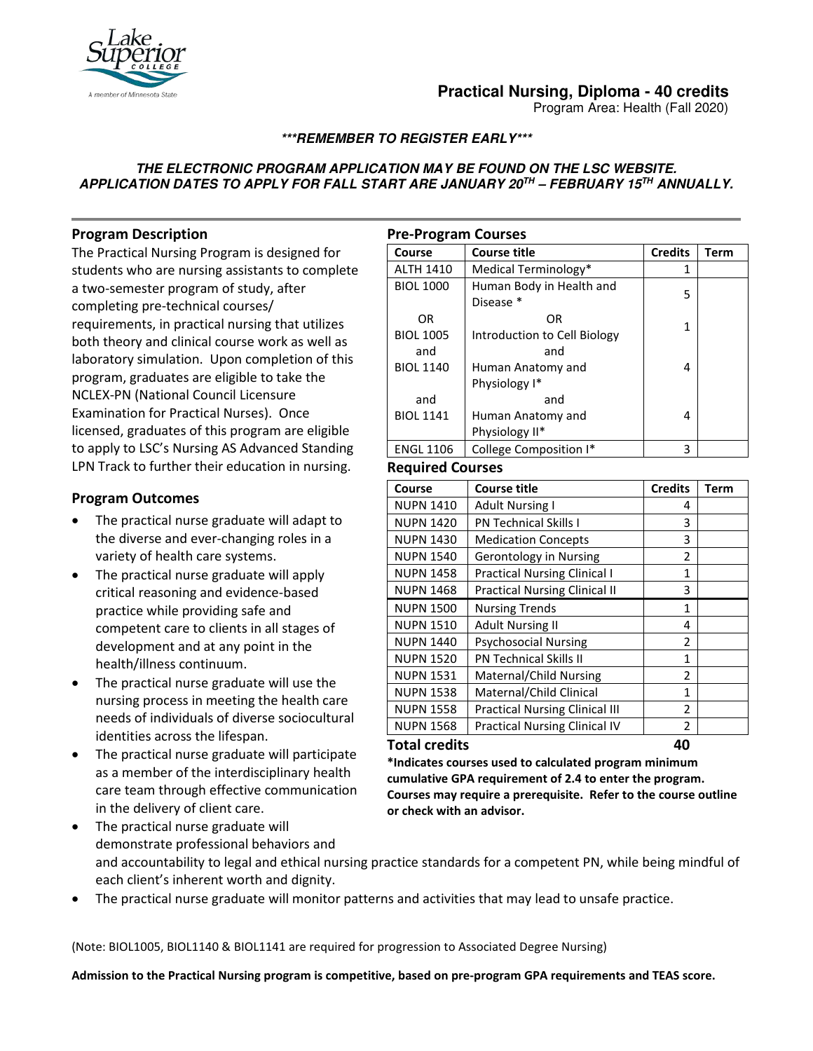

# **Practical Nursing, Diploma - 40 credits**

Program Area: Health (Fall 2020)

## **\*\*\*REMEMBER TO REGISTER EARLY\*\*\***

### **THE ELECTRONIC PROGRAM APPLICATION MAY BE FOUND ON THE LSC WEBSITE. APPLICATION DATES TO APPLY FOR FALL START ARE JANUARY 20TH – FEBRUARY 15TH ANNUALLY.**

# **Program Description**

The Practical Nursing Program is designed for students who are nursing assistants to complete a two-semester program of study, after completing pre-technical courses/ requirements, in practical nursing that utilizes both theory and clinical course work as well as laboratory simulation. Upon completion of this program, graduates are eligible to take the NCLEX-PN (National Council Licensure Examination for Practical Nurses). Once licensed, graduates of this program are eligible to apply to LSC's Nursing AS Advanced Standing LPN Track to further their education in nursing.

## **Program Outcomes**

- The practical nurse graduate will adapt to the diverse and ever-changing roles in a variety of health care systems.
- The practical nurse graduate will apply critical reasoning and evidence-based practice while providing safe and competent care to clients in all stages of development and at any point in the health/illness continuum.
- The practical nurse graduate will use the nursing process in meeting the health care needs of individuals of diverse sociocultural identities across the lifespan.
- The practical nurse graduate will participate as a member of the interdisciplinary health care team through effective communication in the delivery of client care.

| <b>Pre-Program Courses</b> |                              |                |      |  |
|----------------------------|------------------------------|----------------|------|--|
| Course                     | <b>Course title</b>          | <b>Credits</b> | Term |  |
| <b>ALTH 1410</b>           | Medical Terminology*         | 1              |      |  |
| <b>BIOL 1000</b>           | Human Body in Health and     | 5              |      |  |
|                            | Disease *                    |                |      |  |
| OR                         | 0R                           | 1              |      |  |
| <b>BIOL 1005</b>           | Introduction to Cell Biology |                |      |  |
| and                        | and                          |                |      |  |
| <b>BIOL 1140</b>           | Human Anatomy and            | 4              |      |  |
|                            | Physiology I*                |                |      |  |
| and                        | and                          |                |      |  |
| <b>BIOL 1141</b>           | Human Anatomy and            | 4              |      |  |
|                            | Physiology II*               |                |      |  |
| <b>ENGL 1106</b>           | College Composition I*       | 3              |      |  |

#### **Required Courses**

| Course               | <b>Course title</b>                   | <b>Credits</b> | Term |
|----------------------|---------------------------------------|----------------|------|
| <b>NUPN 1410</b>     | <b>Adult Nursing I</b>                | 4              |      |
| <b>NUPN 1420</b>     | <b>PN Technical Skills I</b>          | 3              |      |
| <b>NUPN 1430</b>     | <b>Medication Concepts</b>            | 3              |      |
| <b>NUPN 1540</b>     | Gerontology in Nursing                | $\mathfrak z$  |      |
| <b>NUPN 1458</b>     | <b>Practical Nursing Clinical I</b>   | 1              |      |
| <b>NUPN 1468</b>     | <b>Practical Nursing Clinical II</b>  | 3              |      |
| <b>NUPN 1500</b>     | <b>Nursing Trends</b>                 | 1              |      |
| <b>NUPN 1510</b>     | <b>Adult Nursing II</b>               | 4              |      |
| <b>NUPN 1440</b>     | <b>Psychosocial Nursing</b>           | 2              |      |
| <b>NUPN 1520</b>     | <b>PN Technical Skills II</b>         | 1              |      |
| <b>NUPN 1531</b>     | Maternal/Child Nursing                | $\overline{2}$ |      |
| <b>NUPN 1538</b>     | Maternal/Child Clinical               | 1              |      |
| <b>NUPN 1558</b>     | <b>Practical Nursing Clinical III</b> | $\mathfrak{p}$ |      |
| <b>NUPN 1568</b>     | <b>Practical Nursing Clinical IV</b>  | 2              |      |
| <b>Total credits</b> |                                       | 40             |      |

**\*Indicates courses used to calculated program minimum cumulative GPA requirement of 2.4 to enter the program. Courses may require a prerequisite. Refer to the course outline or check with an advisor.**

- The practical nurse graduate will demonstrate professional behaviors and and accountability to legal and ethical nursing practice standards for a competent PN, while being mindful of each client's inherent worth and dignity.
- The practical nurse graduate will monitor patterns and activities that may lead to unsafe practice.

(Note: BIOL1005, BIOL1140 & BIOL1141 are required for progression to Associated Degree Nursing)

**Admission to the Practical Nursing program is competitive, based on pre-program GPA requirements and TEAS score.**